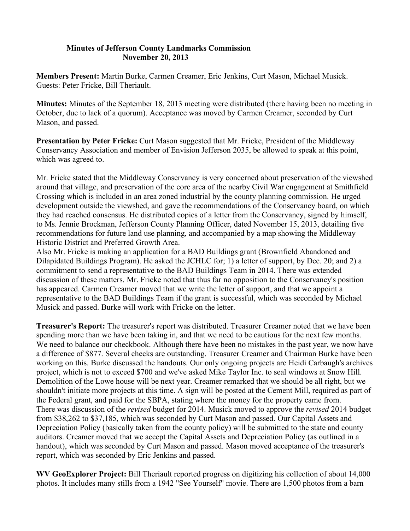## **Minutes of Jefferson County Landmarks Commission November 20, 2013**

**Members Present:** Martin Burke, Carmen Creamer, Eric Jenkins, Curt Mason, Michael Musick. Guests: Peter Fricke, Bill Theriault.

**Minutes:** Minutes of the September 18, 2013 meeting were distributed (there having been no meeting in October, due to lack of a quorum). Acceptance was moved by Carmen Creamer, seconded by Curt Mason, and passed.

**Presentation by Peter Fricke:** Curt Mason suggested that Mr. Fricke, President of the Middleway Conservancy Association and member of Envision Jefferson 2035, be allowed to speak at this point, which was agreed to.

Mr. Fricke stated that the Middleway Conservancy is very concerned about preservation of the viewshed around that village, and preservation of the core area of the nearby Civil War engagement at Smithfield Crossing which is included in an area zoned industrial by the county planning commission. He urged development outside the viewshed, and gave the recommendations of the Conservancy board, on which they had reached consensus. He distributed copies of a letter from the Conservancy, signed by himself, to Ms. Jennie Brockman, Jefferson County Planning Officer, dated November 15, 2013, detailing five recommendations for future land use planning, and accompanied by a map showing the Middleway Historic District and Preferred Growth Area.

Also Mr. Fricke is making an application for a BAD Buildings grant (Brownfield Abandoned and Dilapidated Buildings Program). He asked the JCHLC for; 1) a letter of support, by Dec. 20; and 2) a commitment to send a representative to the BAD Buildings Team in 2014. There was extended discussion of these matters. Mr. Fricke noted that thus far no opposition to the Conservancy's position has appeared. Carmen Creamer moved that we write the letter of support, and that we appoint a representative to the BAD Buildings Team if the grant is successful, which was seconded by Michael Musick and passed. Burke will work with Fricke on the letter.

**Treasurer's Report:** The treasurer's report was distributed. Treasurer Creamer noted that we have been spending more than we have been taking in, and that we need to be cautious for the next few months. We need to balance our checkbook. Although there have been no mistakes in the past year, we now have a difference of \$877. Several checks are outstanding. Treasurer Creamer and Chairman Burke have been working on this. Burke discussed the handouts. Our only ongoing projects are Heidi Carbaugh's archives project, which is not to exceed \$700 and we've asked Mike Taylor Inc. to seal windows at Snow Hill. Demolition of the Lowe house will be next year. Creamer remarked that we should be all right, but we shouldn't initiate more projects at this time. A sign will be posted at the Cement Mill, required as part of the Federal grant, and paid for the SBPA, stating where the money for the property came from. There was discussion of the *revised* budget for 2014. Musick moved to approve the *revised* 2014 budget from \$38,262 to \$37,185, which was seconded by Curt Mason and passed. Our Capital Assets and Depreciation Policy (basically taken from the county policy) will be submitted to the state and county auditors. Creamer moved that we accept the Capital Assets and Depreciation Policy (as outlined in a handout), which was seconded by Curt Mason and passed. Mason moved acceptance of the treasurer's report, which was seconded by Eric Jenkins and passed.

**WV GeoExplorer Project:** Bill Theriault reported progress on digitizing his collection of about 14,000 photos. It includes many stills from a 1942 "See Yourself" movie. There are 1,500 photos from a barn